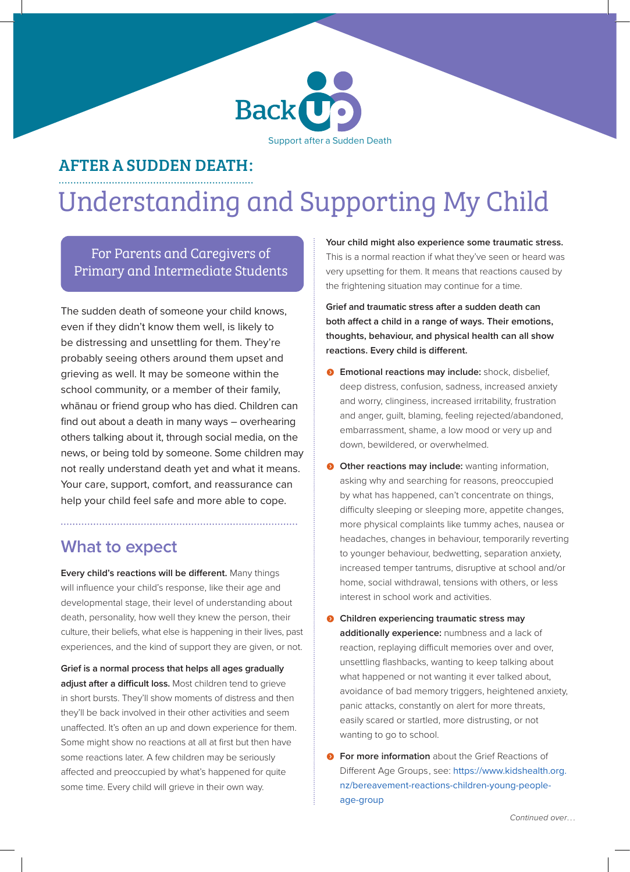

## AFTER A SUDDEN DEATH:

# Understanding and Supporting My Child

For Parents and Caregivers of Primary and Intermediate Students

The sudden death of someone your child knows, even if they didn't know them well, is likely to be distressing and unsettling for them. They're probably seeing others around them upset and grieving as well. It may be someone within the school community, or a member of their family, whānau or friend group who has died. Children can find out about a death in many ways – overhearing others talking about it, through social media, on the news, or being told by someone. Some children may not really understand death yet and what it means. Your care, support, comfort, and reassurance can help your child feel safe and more able to cope.

## **What to expect**

**Every child's reactions will be different.** Many things will influence your child's response, like their age and developmental stage, their level of understanding about death, personality, how well they knew the person, their culture, their beliefs, what else is happening in their lives, past experiences, and the kind of support they are given, or not.

**Grief is a normal process that helps all ages gradually adjust after a difficult loss.** Most children tend to grieve in short bursts. They'll show moments of distress and then they'll be back involved in their other activities and seem unaffected. It's often an up and down experience for them. Some might show no reactions at all at first but then have some reactions later. A few children may be seriously affected and preoccupied by what's happened for quite some time. Every child will grieve in their own way.

**Your child might also experience some traumatic stress.**  This is a normal reaction if what they've seen or heard was very upsetting for them. It means that reactions caused by the frightening situation may continue for a time.

**Grief and traumatic stress after a sudden death can both affect a child in a range of ways. Their emotions, thoughts, behaviour, and physical health can all show reactions. Every child is different.** 

- **6** Emotional reactions may include: shock, disbelief, deep distress, confusion, sadness, increased anxiety and worry, clinginess, increased irritability, frustration and anger, guilt, blaming, feeling rejected/abandoned, embarrassment, shame, a low mood or very up and down, bewildered, or overwhelmed.
- **O Other reactions may include:** wanting information, asking why and searching for reasons, preoccupied by what has happened, can't concentrate on things, difficulty sleeping or sleeping more, appetite changes, more physical complaints like tummy aches, nausea or headaches, changes in behaviour, temporarily reverting to younger behaviour, bedwetting, separation anxiety, increased temper tantrums, disruptive at school and/or home, social withdrawal, tensions with others, or less interest in school work and activities.
- **O** Children experiencing traumatic stress may **additionally experience:** numbness and a lack of reaction, replaying difficult memories over and over, unsettling flashbacks, wanting to keep talking about what happened or not wanting it ever talked about, avoidance of bad memory triggers, heightened anxiety, panic attacks, constantly on alert for more threats, easily scared or startled, more distrusting, or not wanting to go to school.
- **For more information** about the Grief Reactions of Different Age Groups, see: https://www.kidshealth.org. nz/bereavement-reactions-children-young-peopleage-group